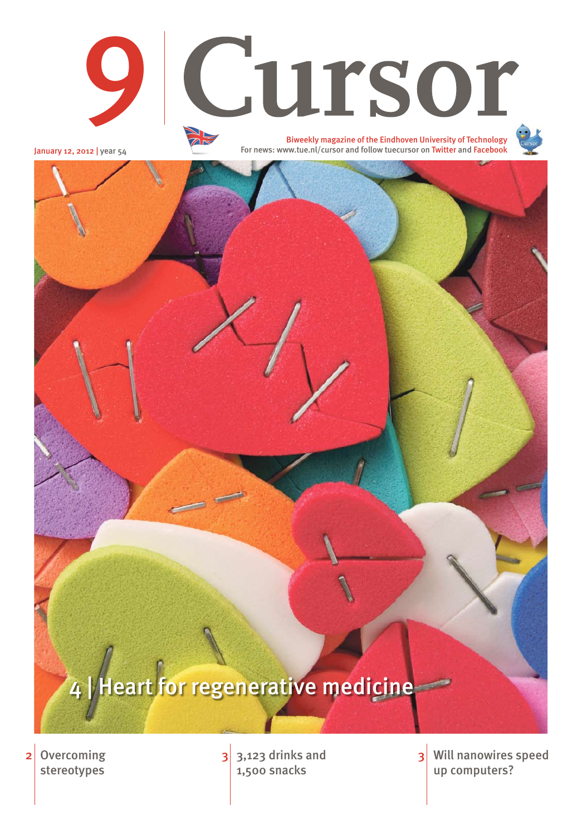**Overcoming** stereotypes



January 12, 2012 | year 54

 $2 \nvert$  Overcoming  $\vert$  3,123 drinks and 1,500 snacks

Will nanowires speed up computers? 3

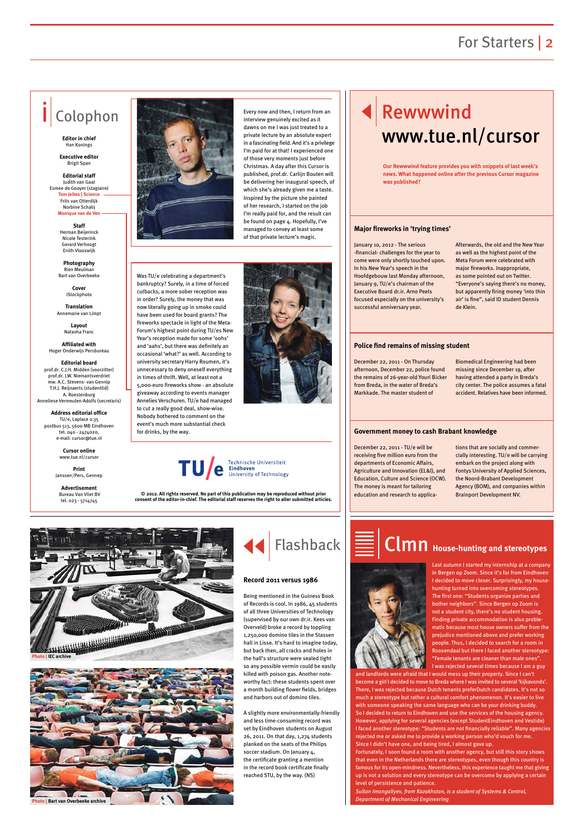### For Starters | 2

Every now and then, I return from an dawns on me I was just treated to a private lecture by an absolute expert in a fascinating field. And it's a privilege I'm paid for at that! I experienced one of those very moments just before Christmas. A day after this Cursor is published, prof.dr. Carlijn Bouten will be delivering her inaugural speech, of which she's already given me a taste. Inspired by the picture she painted of her research, I started on the job I'm really paid for, and the result can be found on page 4. Hopefully, I've managed to convey at least some of that private lecture's magic.

# Every now and then, I return from an  $\|\|$  < Rewwwind  $\mathbf R$ www.tue.nl/cursor

**Cover iStockphoto** 

# Colophon

**Editor in chief** Han Konings

**Executive editor**  Brigit Span

**Editorial staff** Judith van Gaal Esmee de Gooyer (stagiaire) **Tom Jeltes | Science** Frits van Otterdijk Norbine Schalij **Monique van de Ven**

> **Staff**  Herman Beijerinck Nicole Testerink Gerard Verhoogt

Enith Vlooswijk

**Photography**  Rien Meulman Bart van Overbeeke

**Translation** Annemarie van Limpt

> **Layout** Natasha Franc

**Affiliated with**  Hoger Onderwijs Persbureau

**Editorial board** prof.dr. C.J.H. Midden (voorzitter)

prof.dr. J.W. Niemantsverdriet mw. A.C. Stevens- van Gennin T.H.J. Reijnaerts (studentlid) A. Roestenburg Anneliese Vermeulen-Adolfs (secretaris)

**Address editorial office** TU/e, Laplace 0.35 postbus 513, 5600 MB Eindhoven tel. 040 - 2474020, e-mail: cursor@tue.nl

> **Cursor online** www.tue.nl/cursor

**Print** Janssen/Pers, Gennep

**Advertisement** Bureau Van Vliet BV tel. 023 - 5714745



**© 2012. All rights reserved. No part of this publication may be reproduced without prior consent of the editor-in-chief. The editorial staff reserves the right to alter submitted articles.**



January 10, 2012 - The serious -financial- challenges for the year to come were only shortly touched upon. In his New Year's speech in the Hoofdgebouw last Monday afternoon, January 9, TU/e's chairman of the Executive Board dr.ir. Arno Peels focused especially on the university's successful anniversary year.

Afterwards, the old and the New Year as well as the highest point of the Meta Forum were celebrated with major fireworks. Inappropriate, as some pointed out on Twitter. "Everyone's saying there's no money, but apparently firing money 'into thin air' is fine", said ID student Dennis de Klein.

December 22, 2011 - On Thursday afternoon, December 22, police found the remains of 26-year-old Youri Bicker from Breda, in the water of Breda's Markkade. The master student of

Biomedical Engineering had been missing since December 19, after having attended a party in Breda's city center. The police assumes a fatal accident. Relatives have been informed.

December 22, 2011 - TU/e will be receiving five million euro from the departments of Economic Affairs, Agriculture and Innovation (EL&I), and Education, Culture and Science (OCW). The money is meant for tailoring education and research to applications that are socially and commercially interesting. TU/e will be carrying embark on the project along with Fontys University of Applied Sciences, the Noord-Brabant Development Agency (BOM), and companies within Brainport Development NV.

# $\mathsf{C}\mathsf{Im}\hspace{0.03cm} \mathsf{n}$  House-hunting and stereotypes



#### **Major fireworks in 'trying times'**

#### **Police find remains of missing student**

#### **Government money to cash Brabant knowledge**

**Our Rewwwind feature provides you with snippets of last week's news. What happened online after the previous Cursor magazine was published?**

in order? Surely, the money that was now literally going up in smoke could

#### Was TU/e celebrating a department's bankruptcy? Surely, in a time of forced cutbacks, a more sober reception was have been used for board grants? The fireworks spectacle in light of the Meta-Forum's highest point during TU/es New Year's reception made for some 'oohs' and 'aahs', but there was definitely an occasional 'what?' as well. According to university secretary Harry Roumen, it's unnecessary to deny oneself everything 5,000-euro fireworks show - an absolute giveaway according to events manager Annelies Verschuren. TU/e had managed

TU/C Eindhoven<br>University of Technology

in times of thrift. Well, at least not a

to cut a really good deal, show-wise. Nobody bothered to comment on the event's much more substantial check

for drinks, by the way.

Last autumn I started my internship at a company in Bergen op Zoom. Since it's far from Eindhoven I decided to move closer. Surprisingly, my househunting turned into overcoming stereotypes. The first one: "Students organize parties and bother neighbors". Since Bergen op Zoom is not a student city, there's no student housing. Finding private accommodation is also problematic because most house owners suffer from the prejudice mentioned above and prefer working

people. Thus, I decided to search for a room in Roosendaal but there I faced another stereotype: "Female tenants are cleaner than male ones". I was rejected several times because I am a guy

and landlords were afraid that I would mess up their property. Since I can't become a girl I decided to move to Breda where I was invited to several 'kijkavonds'. There, I was rejected because Dutch tenants preferDutch candidates. It's not so much a stereotype but rather a cultural comfort phenomenon. It's easier to live with someone speaking the same language who can be your drinking buddy. So I decided to return to Eindhoven and use the services of the housing agency. However, applying for several agencies (except StudentEindhoven and Vestide) I faced another stereotype: "Students are not financially reliable". Many agencies rejected me or asked me to provide a working person who'd vouch for me. Since I didn't have one, and being tired, I almost gave up. Fortunately, I soon found a room with another agency, but still this story shows that even in the Netherlands there are stereotypes, even though this country is famous for its open-mindness. Nevertheless, this experience taught me that giving up is not a solution and every stereotype can be overcome by applying a certain level of persistence and patience.

*Sultan Imangaliyev, from Kazakhstan, is a student of Systems & Control, Department of Mechanical Engineering*

Being mentioned in the Guiness Book of Records is cool. In 1986, 45 students of all three Universities of Technology (supervised by our own dr.ir. Kees van Overveld) broke a record by toppling 1,250,000 domino tiles in the Stassen hall in Lisse. It's hard to imagine today, but back then, all cracks and holes in the hall's structure were sealed tight so any possible vermin could be easily killed with poison gas. Another noteworthy fact: these students spent over a month building flower fields, bridges and harbors out of domino tiles.

A slightly more environmentally-friendly and less time-consuming record was set by Eindhoven students on August 26, 2011. On that day, 1,274 students planked on the seats of the Philips soccer stadium. On January 4, the certificate granting a mention in the record book certificate finally reached STU, by the way. (NS)

#### **Record 2011 versus 1986**





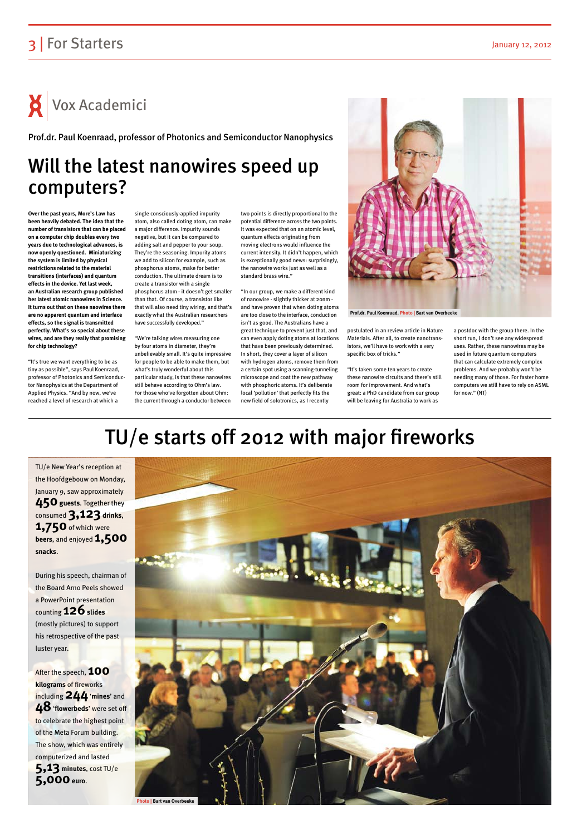### 3 For Starters January 12, 2012

 $\mathsf{X}$  Vox Academici

## TU/e starts off 2012 with major fireworks



TU/e New Year's reception at the Hoofdgebouw on Monday, January 9, saw approximately **450 guests. Together they** consumed **3,123 drinks**, **1,750** of which were **beers**, and enjoyed **1,500 snacks**.

After the speech, **100 kilograms** of fireworks including **244** '**mines**' and **48** '**flowerbeds**' were set off to celebrate the highest point of the Meta Forum building. The show, which was entirely computerized and lasted **5,13 minutes**, cost TU/e **5,000** euro.

During his speech, chairman of the Board Arno Peels showed a PowerPoint presentation counting **126** slides (mostly pictures) to support his retrospective of the past

luster year.

### Will the latest nanowires speed up computers?

**Over the past years, More's Law has been heavily debated. The idea that the number of transistors that can be placed on a computer chip doubles every two years due to technological advances, is now openly questioned. Miniaturizing the system is limited by physical restrictions related to the material transitions (interfaces) and quantum effects in the device. Yet last week, an Australian research group published her latest atomic nanowires in Science. It turns out that on these naowires there are no apparent quantum and interface effects, so the signal is transmitted perfectly. What's so special about these wires, and are they really that promising for chip technology?**

"It's true we want everything to be as tiny as possible", says Paul Koenraad, professor of Photonics and Semiconductor Nanophysics at the Department of Applied Physics. "And by now, we've reached a level of research at which a

single consciously-applied impurity atom, also called doting atom, can make a major difference. Impurity sounds negative, but it can be compared to adding salt and pepper to your soup. They're the seasoning. Impurity atoms we add to silicon for example, such as phosphorus atoms, make for better conduction. The ultimate dream is to create a transistor with a single phosphorus atom - it doesn't get smaller than that. Of course, a transistor like that will also need tiny wiring, and that's exactly what the Australian researchers have successfully developed."

"We're talking wires measuring one by four atoms in diameter, they're unbelievably small. It's quite impressive for people to be able to make them, but what's truly wonderful about this particular study, is that these nanowires still behave according to Ohm's law. For those who've forgotten about Ohm: the current through a conductor between two points is directly proportional to the potential difference across the two points. It was expected that on an atomic level, quantum effects originating from moving electrons would influence the current intensity. It didn't happen, which is exceptionally good news: surprisingly, the nanowire works just as well as a standard brass wire."

"In our group, we make a different kind of nanowire - slightly thicker at 20nm and have proven that when doting atoms are too close to the interface, conduction isn't as good. The Australians have a great technique to prevent just that, and can even apply doting atoms at locations that have been previously determined. In short, they cover a layer of silicon with hydrogen atoms, remove them from a certain spot using a scanning-tunneling microscope and coat the new pathway with phosphoric atoms. It's deliberate local 'pollution' that perfectly fits the new field of solotronics, as I recently

postulated in an review article in Nature Materials. After all, to create nanotransistors, we'll have to work with a very specific box of tricks."

"It's taken some ten years to create these nanowire circuits and there's still room for improvement. And what's great: a PhD candidate from our group will be leaving for Australia to work as

a postdoc with the group there. In the short run, I don't see any widespread uses. Rather, these nanowires may be used in future quantum computers that can calculate extremely complex problems. And we probably won't be needing many of those. For faster home computers we still have to rely on ASML for now." (NT)

Prof.dr. Paul Koenraad, professor of Photonics and Semiconductor Nanophysics